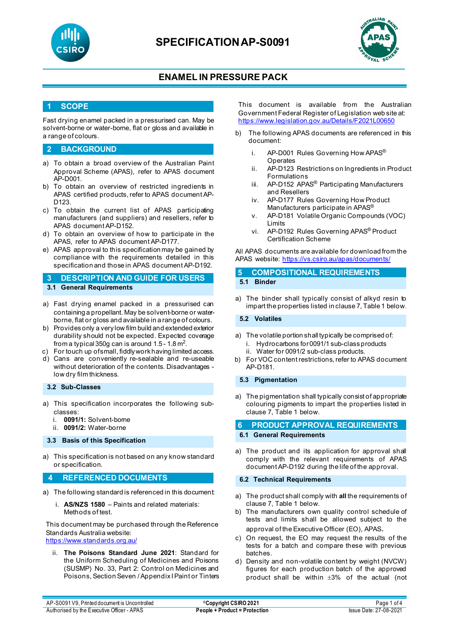

# **SPECIFICATIONAP-S0091**



# **ENAMEL IN PRESSURE PACK**

## **1 SCOPE**

Fast drying enamel packed in a pressurised can. May be solvent-borne or water-borne, flat or gloss and available in a range of colours.

## **2 BACKGROUND**

- a) To obtain a broad overview of the Australian Paint Approval Scheme (APAS), refer to APAS document AP-D001.
- b) To obtain an overview of restricted ingredients in APAS certified products, refer to APAS document AP-D123.
- c) To obtain the current list of APAS participating manufacturers (and suppliers) and resellers, refer to APAS document AP-D152.
- d) To obtain an overview of how to participate in the APAS, refer to APAS document AP-D177.
- e) APAS approval to this specification may be gained by compliance with the requirements detailed in this specification and those in APAS document AP-D192.

**3 DESCRIPTION AND GUIDE FOR USERS 3.1 General Requirements**

- a) Fast drying enamel packed in a pressurised can containing a propellant. May be solvent-borne or waterborne, flat or gloss and available in a range of colours.
- b) Provides only a very low film build and extended exterior durability should not be expected. Expected coverage from a typical 350g can is around 1.5 - 1.8 m<sup>2</sup>.
- For touch up of small, fiddly work having limited access.
- d) Cans are conveniently re-sealable and re-useable without deterioration of the contents. Disadvantages low dry film thickness.

### **3.2 Sub-Classes**

- a) This specification incorporates the following subclasses:
	- i. **0091/1:** Solvent-borne
	- ii. **0091/2:** Water-borne

#### **3.3 Basis of this Specification**

a) This specification is not based on any know standard or specification.

### **4 REFERENCED DOCUMENTS**

- a) The following standard is referenced in this document:
	- i. **AS/NZS 1580** Paints and related materials: Methods of test.

This document may be purchased through the Reference Standards Australia website: <https://www.standards.org.au/>

ii. **The Poisons Standard June 2021**: Standard for the Uniform Scheduling of Medicines and Poisons (SUSMP) No. 33, Part 2: Control on Medicines and Poisons, Section Seven / Appendix I Paint or Tinters This document is available from the Australian Government Federal Register of Legislation web site at: <https://www.legislation.gov.au/Details/F2021L00650>

- b) The following APAS documents are referenced in this document:
	- i. AP-D001 Rules Governing How APAS<sup>®</sup> Operates
	- ii. AP-D123 Restrictions on Ingredients in Product Formulations
	- iii. AP-D152 APAS<sup>®</sup> Participating Manufacturers and Resellers
	- iv. AP-D177 Rules Governing How Product Manufacturers participate in APAS<sup>®</sup>
	- v. AP-D181 Volatile Organic Compounds (VOC) Limits
	- vi. AP-D192 Rules Governing APAS® Product Certification Scheme

All APAS documents are available for download from the APAS website: <https://vs.csiro.au/apas/documents/>

## **5 COMPOSITIONAL REQUIREMENTS 5.1 Binder**

a) The binder shall typically consist of alkyd resin to impart the properties listed in clause 7, Table 1 below.

#### **5.2 Volatiles**

- a) The volatile portion shall typically be comprised of:
	- i. Hydrocarbons for 0091/1 sub-class products
	- ii. Water for 0091/2 sub-class products.
- b) For VOC content restrictions, refer to APAS document AP-D181.

#### **5.3 Pigmentation**

a) The pigmentation shall typically consist of appropriate colouring pigments to impart the properties listed in clause 7, Table 1 below.

## **6 PRODUCT APPROVAL REQUIREMENTS**

**6.1 General Requirements**

a) The product and its application for approval shall comply with the relevant requirements of APAS document AP-D192 during the life of the approval.

### **6.2 Technical Requirements**

- a) The product shall comply with **all** the requirements of clause 7, Table 1 below.
- b) The manufacturers own quality control schedule of tests and limits shall be allowed subject to the approval of the Executive Officer (EO), APAS.
- c) On request, the EO may request the results of the tests for a batch and compare these with previous batches.
- d) Density and non-volatile content by weight (NVCW) figures for each production batch of the approved product shall be within ±3% of the actual (not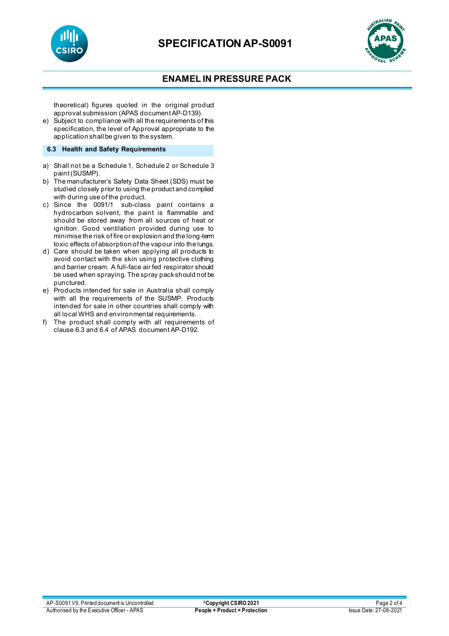



# **ENAMEL IN PRESSURE PACK**

theoretical) figures quoted in the original product approval submission (APAS document AP-D139).

e) Subject to compliance with all the requirements of this specification, the level of Approval appropriate to the application shall be given to the system.

### **6.3 Health and Safety Requirements**

- a) Shall not be a Schedule 1, Schedule 2 or Schedule 3 paint (SUSMP).
- b) The manufacturer's Safety Data Sheet (SDS) must be studied closely prior to using the product and complied with during use of the product.
- c) Since the 0091/1 sub-class paint contains a hydrocarbon solvent, the paint is flammable and should be stored away from all sources of heat or ignition. Good ventilation provided during use to minimise the risk of fire or explosion and the long-term toxic effects of absorption of the vapour into the lungs.
- d) Care should be taken when applying all products to avoid contact with the skin using protective clothing and barrier cream. A full-face air fed respirator should be used when spraying. The spray pack should not be punctured.
- e) Products intended for sale in Australia shall comply with all the requirements of the SUSMP. Products intended for sale in other countries shall comply with all local WHS and environmental requirements.
- f) The product shall comply with all requirements of clause 6.3 and 6.4 of APAS document AP-D192.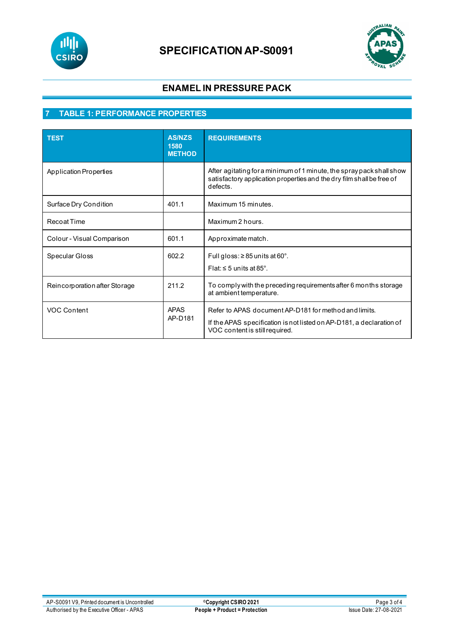

# **SPECIFICATION AP-S0091**



# **ENAMEL IN PRESSURE PACK**

# **7 TABLE 1: PERFORMANCE PROPERTIES**

| <b>TEST</b>                   | <b>AS/NZS</b><br>1580<br><b>METHOD</b> | <b>REQUIREMENTS</b>                                                                                                                                             |
|-------------------------------|----------------------------------------|-----------------------------------------------------------------------------------------------------------------------------------------------------------------|
| Application Properties        |                                        | After agitating for a minimum of 1 minute, the spray pack shall show<br>satisfactory application properties and the dry film shall be free of<br>defects.       |
| Surface Dry Condition         | 401.1                                  | Maximum 15 minutes.                                                                                                                                             |
| <b>Recoat Time</b>            |                                        | Maximum 2 hours.                                                                                                                                                |
| Colour - Visual Comparison    | 601.1                                  | Approximate match.                                                                                                                                              |
| Specular Gloss                | 602.2                                  | Full gloss: $\geq$ 85 units at 60°.<br>Flat: $\leq$ 5 units at 85°.                                                                                             |
| Reincorporation after Storage | 211.2                                  | To comply with the preceding requirements after 6 months storage<br>at ambient temperature.                                                                     |
| <b>VOC Content</b>            | <b>APAS</b><br>AP-D181                 | Refer to APAS document AP-D181 for method and limits.<br>If the APAS specification is not listed on AP-D181, a declaration of<br>VOC content is still required. |